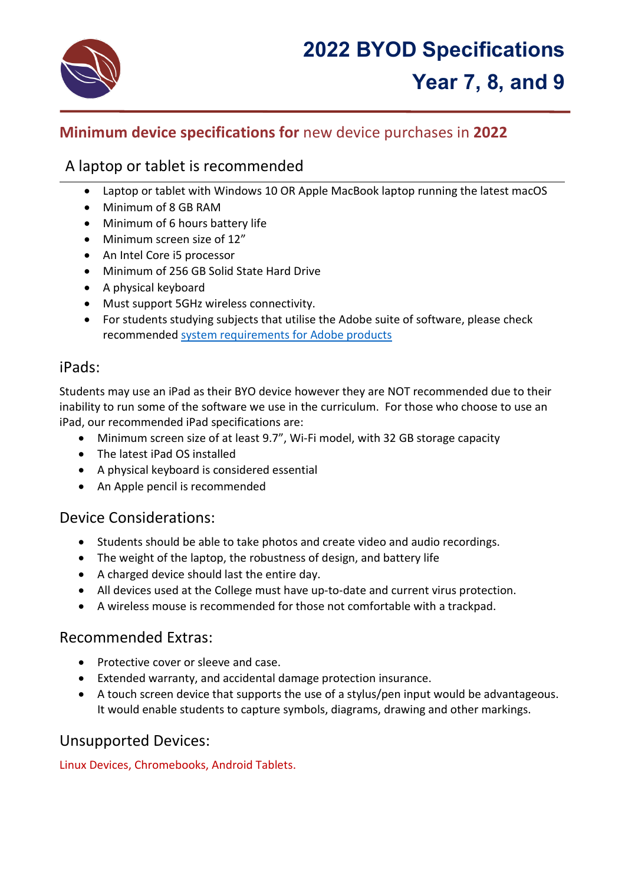

# **Minimum device specifications for** new device purchases in **2022**

# A laptop or tablet is recommended

- Laptop or tablet with Windows 10 OR Apple MacBook laptop running the latest macOS
- Minimum of 8 GB RAM
- Minimum of 6 hours battery life
- Minimum screen size of 12"
- An Intel Core i5 processor
- Minimum of 256 GB Solid State Hard Drive
- A physical keyboard
- Must support 5GHz wireless connectivity.
- For students studying subjects that utilise the Adobe suite of software, please check recommended [system requirements for Adobe products](https://helpx.adobe.com/au/creative-cloud/system-requirements.html)

### iPads:

Students may use an iPad as their BYO device however they are NOT recommended due to their inability to run some of the software we use in the curriculum. For those who choose to use an iPad, our recommended iPad specifications are:

- Minimum screen size of at least 9.7", Wi-Fi model, with 32 GB storage capacity
- The latest iPad OS installed
- A physical keyboard is considered essential
- An Apple pencil is recommended

# Device Considerations:

- Students should be able to take photos and create video and audio recordings.
- The weight of the laptop, the robustness of design, and battery life
- A charged device should last the entire day.
- All devices used at the College must have up-to-date and current virus protection.
- A wireless mouse is recommended for those not comfortable with a trackpad.

# Recommended Extras:

- Protective cover or sleeve and case.
- Extended warranty, and accidental damage protection insurance.
- A touch screen device that supports the use of a stylus/pen input would be advantageous. It would enable students to capture symbols, diagrams, drawing and other markings.

# Unsupported Devices:

Linux Devices, Chromebooks, Android Tablets.